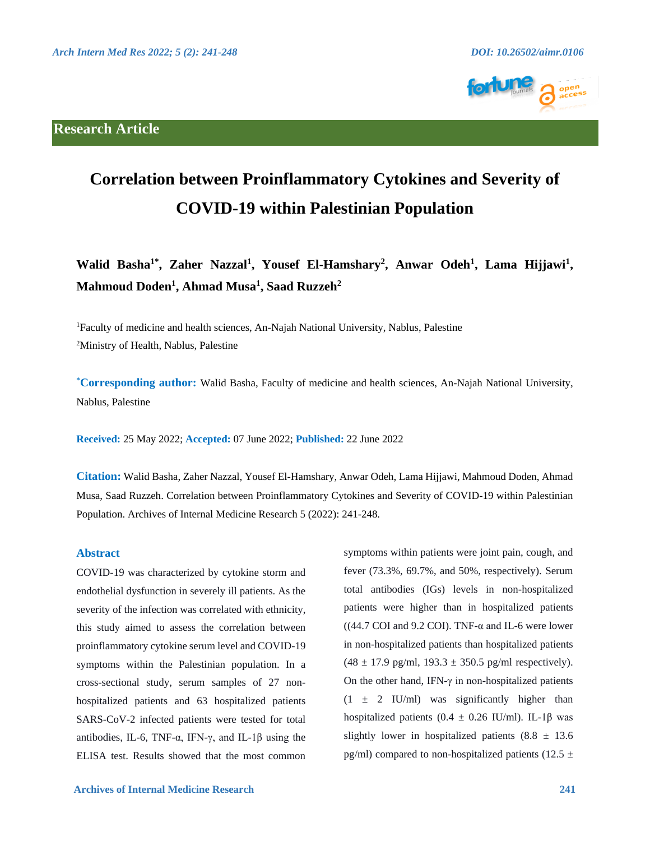

# **Correlation between Proinflammatory Cytokines and Severity of COVID-19 within Palestinian Population**

**Walid Basha1\*, Zaher Nazzal<sup>1</sup> , Yousef El-Hamshary<sup>2</sup> , Anwar Odeh<sup>1</sup> , Lama Hijjawi<sup>1</sup> , Mahmoud Doden<sup>1</sup> , Ahmad Musa<sup>1</sup> , Saad Ruzzeh<sup>2</sup>**

<sup>1</sup>Faculty of medicine and health sciences, An-Najah National University, Nablus, Palestine <sup>2</sup>Ministry of Health, Nablus, Palestine

**\*Corresponding author:** Walid Basha, Faculty of medicine and health sciences, An-Najah National University, Nablus, Palestine

**Received:** 25 May 2022; **Accepted:** 07 June 2022; **Published:** 22 June 2022

**Citation:** Walid Basha, Zaher Nazzal, Yousef El-Hamshary, Anwar Odeh, Lama Hijjawi, Mahmoud Doden, Ahmad Musa, Saad Ruzzeh. Correlation between Proinflammatory Cytokines and Severity of COVID-19 within Palestinian Population. Archives of Internal Medicine Research 5 (2022): 241-248.

## **Abstract**

COVID-19 was characterized by cytokine storm and endothelial dysfunction in severely ill patients. As the severity of the infection was correlated with ethnicity, this study aimed to assess the correlation between proinflammatory cytokine serum level and COVID-19 symptoms within the Palestinian population. In a cross-sectional study, serum samples of 27 nonhospitalized patients and 63 hospitalized patients SARS-CoV-2 infected patients were tested for total antibodies, IL-6, TNF-α, IFN-γ, and IL-1β using the ELISA test. Results showed that the most common symptoms within patients were joint pain, cough, and fever (73.3%, 69.7%, and 50%, respectively). Serum total antibodies (IGs) levels in non-hospitalized patients were higher than in hospitalized patients ((44.7 COI and 9.2 COI). TNF- $\alpha$  and IL-6 were lower in non-hospitalized patients than hospitalized patients  $(48 \pm 17.9 \text{ pg/ml}, 193.3 \pm 350.5 \text{ pg/ml respectively}).$ On the other hand, IFN- $\gamma$  in non-hospitalized patients  $(1 \pm 2 \text{ IU/ml})$  was significantly higher than hospitalized patients  $(0.4 \pm 0.26 \text{ IU/ml})$ . IL-1 $\beta$  was slightly lower in hospitalized patients  $(8.8 \pm 13.6)$ pg/ml) compared to non-hospitalized patients (12.5  $\pm$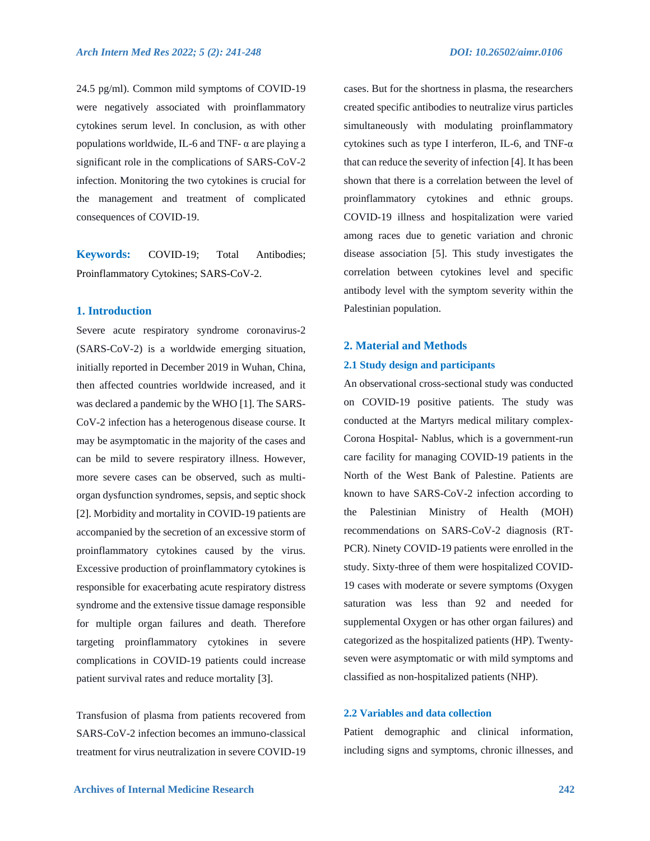24.5 pg/ml). Common mild symptoms of COVID-19 were negatively associated with proinflammatory cytokines serum level. In conclusion, as with other populations worldwide, IL-6 and TNF- $\alpha$  are playing a significant role in the complications of SARS-CoV-2 infection. Monitoring the two cytokines is crucial for the management and treatment of complicated consequences of COVID-19.

**Keywords:** COVID-19; Total Antibodies; Proinflammatory Cytokines; SARS-CoV-2.

# **1. Introduction**

Severe acute respiratory syndrome coronavirus-2 (SARS-CoV-2) is a worldwide emerging situation, initially reported in December 2019 in Wuhan, China, then affected countries worldwide increased, and it was declared a pandemic by the WHO [1]. The SARS-CoV-2 infection has a heterogenous disease course. It may be asymptomatic in the majority of the cases and can be mild to severe respiratory illness. However, more severe cases can be observed, such as multiorgan dysfunction syndromes, sepsis, and septic shock [2]. Morbidity and mortality in COVID-19 patients are accompanied by the secretion of an excessive storm of proinflammatory cytokines caused by the virus. Excessive production of proinflammatory cytokines is responsible for exacerbating acute respiratory distress syndrome and the extensive tissue damage responsible for multiple organ failures and death. Therefore targeting proinflammatory cytokines in severe complications in COVID-19 patients could increase patient survival rates and reduce mortality [3].

Transfusion of plasma from patients recovered from SARS-CoV-2 infection becomes an immuno-classical treatment for virus neutralization in severe COVID-19 cases. But for the shortness in plasma, the researchers created specific antibodies to neutralize virus particles simultaneously with modulating proinflammatory cytokines such as type I interferon, IL-6, and TNF-α that can reduce the severity of infection [4]. It has been shown that there is a correlation between the level of proinflammatory cytokines and ethnic groups. COVID-19 illness and hospitalization were varied among races due to genetic variation and chronic disease association [5]. This study investigates the correlation between cytokines level and specific antibody level with the symptom severity within the Palestinian population.

# **2. Material and Methods**

#### **2.1 Study design and participants**

An observational cross-sectional study was conducted on COVID-19 positive patients. The study was conducted at the Martyrs medical military complex-Corona Hospital- Nablus, which is a government-run care facility for managing COVID-19 patients in the North of the West Bank of Palestine. Patients are known to have SARS-CoV-2 infection according to the Palestinian Ministry of Health (MOH) recommendations on SARS-CoV-2 diagnosis (RT-PCR). Ninety COVID-19 patients were enrolled in the study. Sixty-three of them were hospitalized COVID-19 cases with moderate or severe symptoms (Oxygen saturation was less than 92 and needed for supplemental Oxygen or has other organ failures) and categorized as the hospitalized patients (HP). Twentyseven were asymptomatic or with mild symptoms and classified as non-hospitalized patients (NHP).

# **2.2 Variables and data collection**

Patient demographic and clinical information, including signs and symptoms, chronic illnesses, and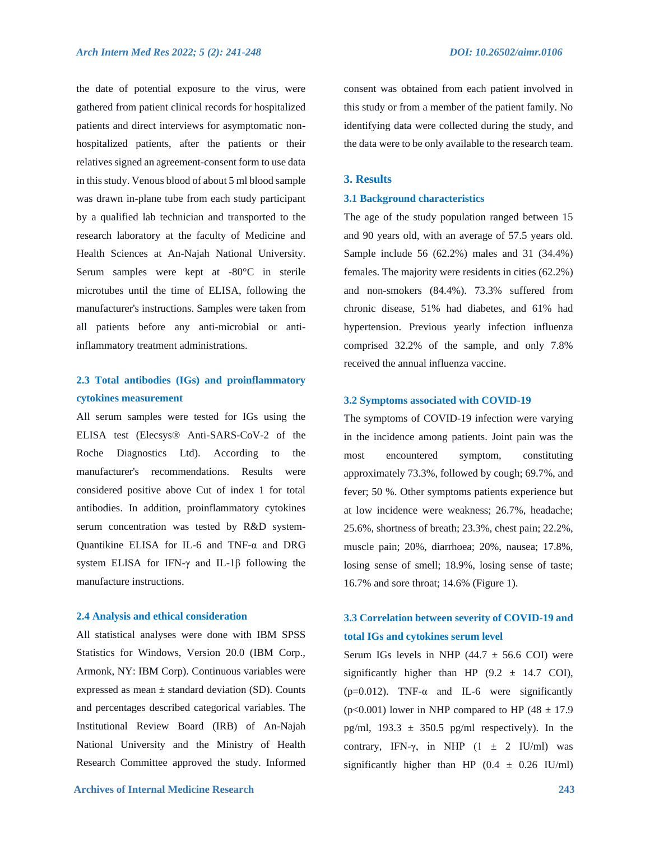the date of potential exposure to the virus, were gathered from patient clinical records for hospitalized patients and direct interviews for asymptomatic nonhospitalized patients, after the patients or their relatives signed an agreement-consent form to use data in this study. Venous blood of about 5 ml blood sample was drawn in-plane tube from each study participant by a qualified lab technician and transported to the research laboratory at the faculty of Medicine and Health Sciences at An-Najah National University. Serum samples were kept at -80°C in sterile microtubes until the time of ELISA, following the manufacturer's instructions. Samples were taken from all patients before any anti-microbial or antiinflammatory treatment administrations.

# **2.3 Total antibodies (IGs) and proinflammatory cytokines measurement**

All serum samples were tested for IGs using the ELISA test (Elecsys® Anti-SARS-CoV-2 of the Roche Diagnostics Ltd). According to the manufacturer's recommendations. Results were considered positive above Cut of index 1 for total antibodies. In addition, proinflammatory cytokines serum concentration was tested by R&D system-Quantikine ELISA for IL-6 and TNF-α and DRG system ELISA for IFN-γ and IL-1β following the manufacture instructions.

#### **2.4 Analysis and ethical consideration**

All statistical analyses were done with IBM SPSS Statistics for Windows, Version 20.0 (IBM Corp., Armonk, NY: IBM Corp). Continuous variables were expressed as mean  $\pm$  standard deviation (SD). Counts and percentages described categorical variables. The Institutional Review Board (IRB) of An-Najah National University and the Ministry of Health Research Committee approved the study. Informed consent was obtained from each patient involved in this study or from a member of the patient family. No identifying data were collected during the study, and the data were to be only available to the research team.

#### **3. Results**

#### **3.1 Background characteristics**

The age of the study population ranged between 15 and 90 years old, with an average of 57.5 years old. Sample include 56 (62.2%) males and 31 (34.4%) females. The majority were residents in cities (62.2%) and non-smokers (84.4%). 73.3% suffered from chronic disease, 51% had diabetes, and 61% had hypertension. Previous yearly infection influenza comprised 32.2% of the sample, and only 7.8% received the annual influenza vaccine.

#### **3.2 Symptoms associated with COVID-19**

The symptoms of COVID-19 infection were varying in the incidence among patients. Joint pain was the most encountered symptom, constituting approximately 73.3%, followed by cough; 69.7%, and fever; 50 %. Other symptoms patients experience but at low incidence were weakness; 26.7%, headache; 25.6%, shortness of breath; 23.3%, chest pain; 22.2%, muscle pain; 20%, diarrhoea; 20%, nausea; 17.8%, losing sense of smell; 18.9%, losing sense of taste; 16.7% and sore throat; 14.6% (Figure 1).

# **3.3 Correlation between severity of COVID-19 and total IGs and cytokines serum level**

Serum IGs levels in NHP  $(44.7 \pm 56.6 \text{ COI})$  were significantly higher than HP  $(9.2 \pm 14.7 \text{ COI})$ , ( $p=0.012$ ). TNF- $\alpha$  and IL-6 were significantly ( $p<0.001$ ) lower in NHP compared to HP ( $48 \pm 17.9$ ) pg/ml,  $193.3 \pm 350.5$  pg/ml respectively). In the contrary, IFN- $\gamma$ , in NHP (1  $\pm$  2 IU/ml) was significantly higher than HP  $(0.4 \pm 0.26 \text{ IU/ml})$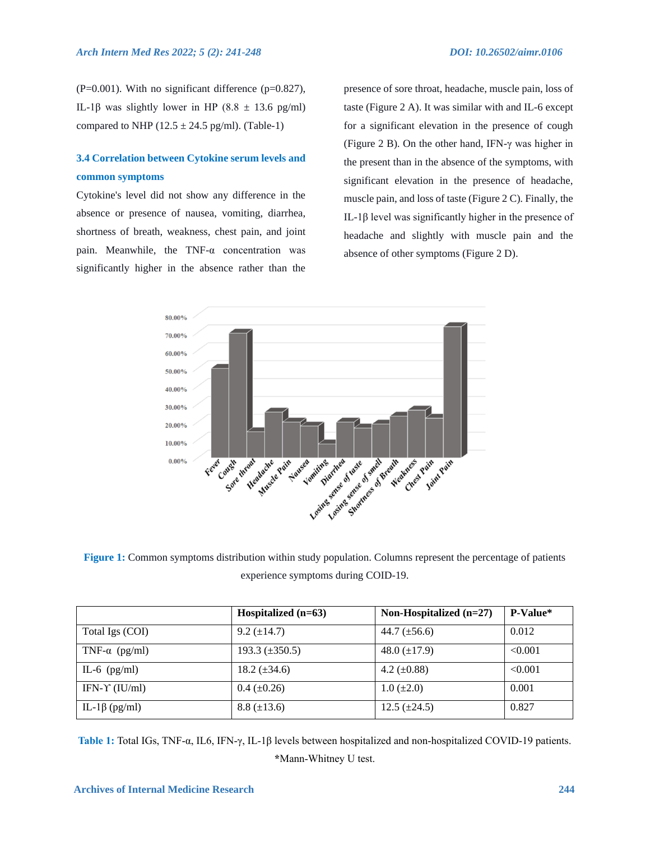$(P=0.001)$ . With no significant difference  $(p=0.827)$ , IL-1β was slightly lower in HP (8.8  $\pm$  13.6 pg/ml) compared to NHP ( $12.5 \pm 24.5$  pg/ml). (Table-1)

# **3.4 Correlation between Cytokine serum levels and common symptoms**

Cytokine's level did not show any difference in the absence or presence of nausea, vomiting, diarrhea, shortness of breath, weakness, chest pain, and joint pain. Meanwhile, the TNF-α concentration was significantly higher in the absence rather than the

presence of sore throat, headache, muscle pain, loss of taste (Figure 2 A). It was similar with and IL-6 except for a significant elevation in the presence of cough (Figure 2 B). On the other hand, IFN-γ was higher in the present than in the absence of the symptoms, with significant elevation in the presence of headache, muscle pain, and loss of taste (Figure 2 C). Finally, the IL-1β level was significantly higher in the presence of headache and slightly with muscle pain and the absence of other symptoms (Figure 2 D).



**Figure 1:** Common symptoms distribution within study population. Columns represent the percentage of patients experience symptoms during COID-19.

|                         | Hospitalized $(n=63)$ | Non-Hospitalized $(n=27)$ | P-Value* |
|-------------------------|-----------------------|---------------------------|----------|
| Total Igs (COI)         | $9.2 \ (\pm 14.7)$    | 44.7 $(\pm 56.6)$         | 0.012    |
| TNF- $\alpha$ (pg/ml)   | 193.3 $(\pm 350.5)$   | 48.0 $(\pm 17.9)$         | < 0.001  |
| IL-6 $(pg/ml)$          | 18.2 $(\pm 34.6)$     | 4.2 $(\pm 0.88)$          | < 0.001  |
| IFN- $\Upsilon$ (IU/ml) | $0.4~(\pm 0.26)$      | $1.0 (\pm 2.0)$           | 0.001    |
| IL-1 $\beta$ (pg/ml)    | $8.8 (\pm 13.6)$      | $12.5 \ (\pm 24.5)$       | 0.827    |

**Table 1:** Total IGs, TNF-α, IL6, IFN-γ, IL-1β levels between hospitalized and non-hospitalized COVID-19 patients. **\***Mann-Whitney U test.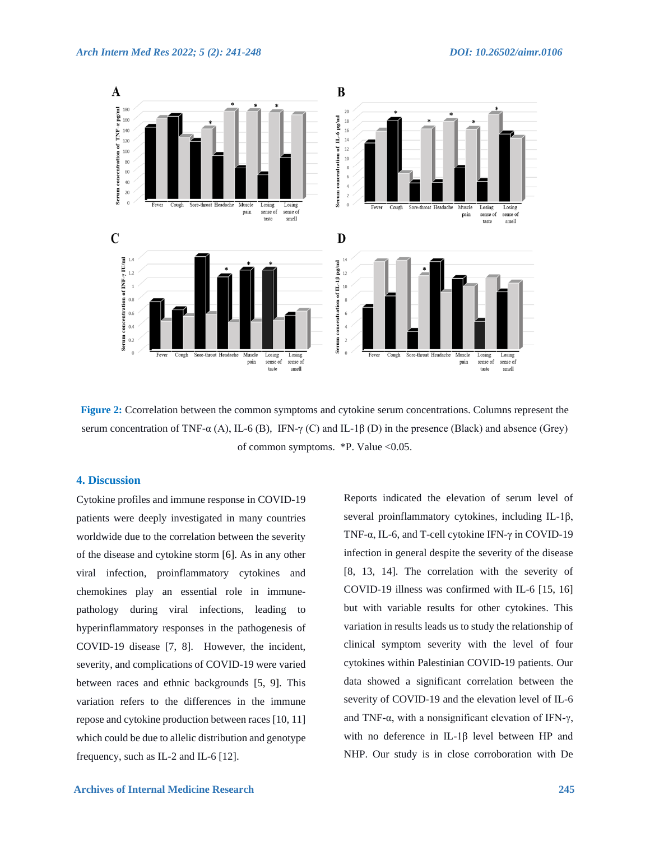

**Figure 2:** Ccorrelation between the common symptoms and cytokine serum concentrations. Columns represent the serum concentration of TNF-α (A), IL-6 (B), IFN-γ (C) and IL-1β (D) in the presence (Black) and absence (Grey) of common symptoms. \*P. Value <0.05.

### **4. Discussion**

Cytokine profiles and immune response in COVID-19 patients were deeply investigated in many countries worldwide due to the correlation between the severity of the disease and cytokine storm [6]. As in any other viral infection, proinflammatory cytokines and chemokines play an essential role in immunepathology during viral infections, leading to hyperinflammatory responses in the pathogenesis of COVID-19 disease [7, 8]. However, the incident, severity, and complications of COVID-19 were varied between races and ethnic backgrounds [5, 9]. This variation refers to the differences in the immune repose and cytokine production between races [10, 11] which could be due to allelic distribution and genotype frequency, such as IL-2 and IL-6 [12].

Reports indicated the elevation of serum level of several proinflammatory cytokines, including IL-1β, TNF-α, IL-6, and T-cell cytokine IFN-γ in COVID-19 infection in general despite the severity of the disease [8, 13, 14]. The correlation with the severity of COVID-19 illness was confirmed with IL-6 [15, 16] but with variable results for other cytokines. This variation in results leads us to study the relationship of clinical symptom severity with the level of four cytokines within Palestinian COVID-19 patients. Our data showed a significant correlation between the severity of COVID-19 and the elevation level of IL-6 and TNF-α, with a nonsignificant elevation of IFN-γ, with no deference in IL-1β level between HP and NHP. Our study is in close corroboration with De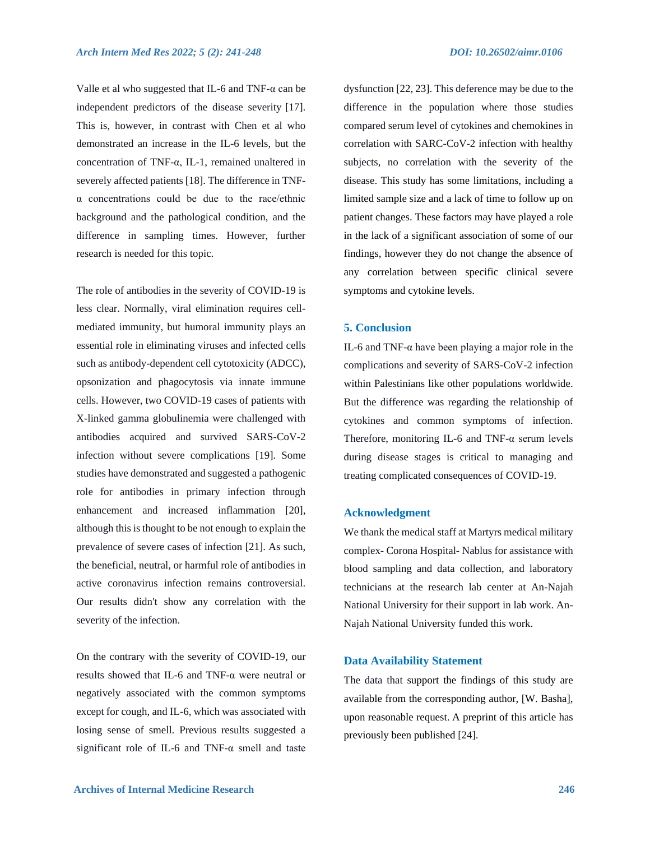Valle et al who suggested that IL-6 and TNF- $\alpha$  can be independent predictors of the disease severity [17]. This is, however, in contrast with Chen et al who demonstrated an increase in the IL-6 levels, but the concentration of TNF-α, IL-1, remained unaltered in severely affected patients [18]. The difference in TNFα concentrations could be due to the race/ethnic background and the pathological condition, and the difference in sampling times. However, further research is needed for this topic.

The role of antibodies in the severity of COVID-19 is less clear. Normally, viral elimination requires cellmediated immunity, but humoral immunity plays an essential role in eliminating viruses and infected cells such as antibody-dependent cell cytotoxicity (ADCC), opsonization and phagocytosis via innate immune cells. However, two COVID-19 cases of patients with X-linked gamma globulinemia were challenged with antibodies acquired and survived SARS-CoV-2 infection without severe complications [19]. Some studies have demonstrated and suggested a pathogenic role for antibodies in primary infection through enhancement and increased inflammation [20], although this is thought to be not enough to explain the prevalence of severe cases of infection [21]. As such, the beneficial, neutral, or harmful role of antibodies in active coronavirus infection remains controversial. Our results didn't show any correlation with the severity of the infection.

On the contrary with the severity of COVID-19, our results showed that IL-6 and TNF-α were neutral or negatively associated with the common symptoms except for cough, and IL-6, which was associated with losing sense of smell. Previous results suggested a significant role of IL-6 and TNF- $\alpha$  smell and taste dysfunction [22, 23]. This deference may be due to the difference in the population where those studies compared serum level of cytokines and chemokines in correlation with SARC-CoV-2 infection with healthy subjects, no correlation with the severity of the disease. This study has some limitations, including a limited sample size and a lack of time to follow up on patient changes. These factors may have played a role in the lack of a significant association of some of our findings, however they do not change the absence of any correlation between specific clinical severe symptoms and cytokine levels.

# **5. Conclusion**

IL-6 and TNF-α have been playing a major role in the complications and severity of SARS-CoV-2 infection within Palestinians like other populations worldwide. But the difference was regarding the relationship of cytokines and common symptoms of infection. Therefore, monitoring IL-6 and TNF- $\alpha$  serum levels during disease stages is critical to managing and treating complicated consequences of COVID-19.

#### **Acknowledgment**

We thank the medical staff at Martyrs medical military complex- Corona Hospital- Nablus for assistance with blood sampling and data collection, and laboratory technicians at the research lab center at An-Najah National University for their support in lab work. An-Najah National University funded this work.

#### **Data Availability Statement**

The data that support the findings of this study are available from the corresponding author, [W. Basha], upon reasonable request. A preprint of this article has previously been published [24].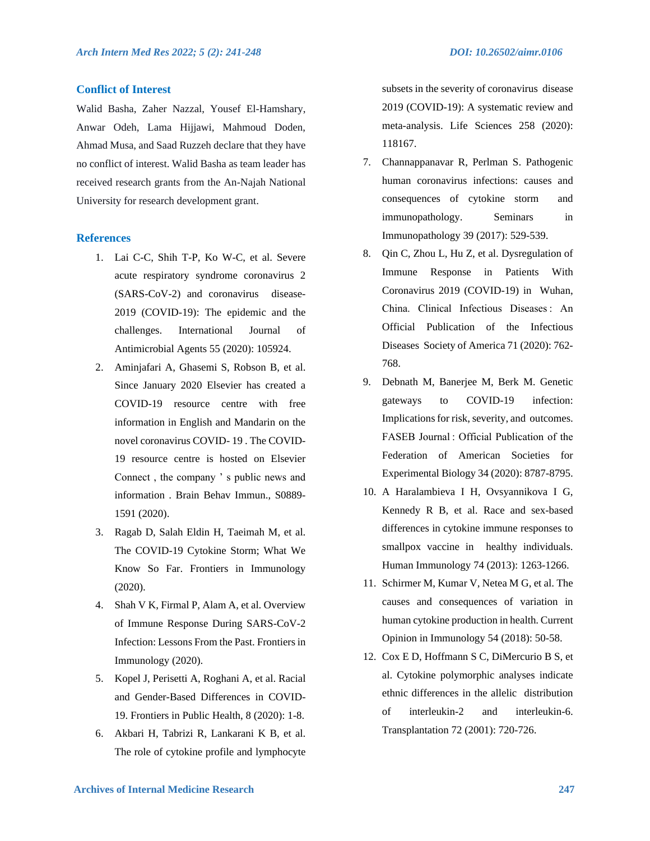# **Conflict of Interest**

Walid Basha, Zaher Nazzal, Yousef El-Hamshary, Anwar Odeh, Lama Hijjawi, Mahmoud Doden, Ahmad Musa, and Saad Ruzzeh declare that they have no conflict of interest. Walid Basha as team leader has received research grants from the An-Najah National University for research development grant.

#### **References**

- 1. Lai C-C, Shih T-P, Ko W-C, et al. Severe acute respiratory syndrome coronavirus 2 (SARS-CoV-2) and coronavirus disease-2019 (COVID-19): The epidemic and the challenges. International Journal of Antimicrobial Agents 55 (2020): 105924.
- 2. Aminjafari A, Ghasemi S, Robson B, et al. Since January 2020 Elsevier has created a COVID-19 resource centre with free information in English and Mandarin on the novel coronavirus COVID- 19 . The COVID-19 resource centre is hosted on Elsevier Connect , the company ' s public news and information . Brain Behav Immun., S0889- 1591 (2020).
- 3. Ragab D, Salah Eldin H, Taeimah M, et al. The COVID-19 Cytokine Storm; What We Know So Far. Frontiers in Immunology (2020).
- 4. Shah V K, Firmal P, Alam A, et al. Overview of Immune Response During SARS-CoV-2 Infection: Lessons From the Past. Frontiers in Immunology (2020).
- 5. Kopel J, Perisetti A, Roghani A, et al. Racial and Gender-Based Differences in COVID-19. Frontiers in Public Health, 8 (2020): 1-8.
- 6. Akbari H, Tabrizi R, Lankarani K B, et al. The role of cytokine profile and lymphocyte

subsets in the severity of coronavirus disease 2019 (COVID-19): A systematic review and meta-analysis. Life Sciences 258 (2020): 118167.

- 7. Channappanavar R, Perlman S. Pathogenic human coronavirus infections: causes and consequences of cytokine storm and immunopathology. Seminars in Immunopathology 39 (2017): 529-539.
- 8. Qin C, Zhou L, Hu Z, et al. Dysregulation of Immune Response in Patients With Coronavirus 2019 (COVID-19) in Wuhan, China. Clinical Infectious Diseases : An Official Publication of the Infectious Diseases Society of America 71 (2020): 762- 768.
- 9. Debnath M, Banerjee M, Berk M. Genetic gateways to COVID-19 infection: Implications for risk, severity, and outcomes. FASEB Journal : Official Publication of the Federation of American Societies for Experimental Biology 34 (2020): 8787-8795.
- 10. A Haralambieva I H, Ovsyannikova I G, Kennedy R B, et al. Race and sex-based differences in cytokine immune responses to smallpox vaccine in healthy individuals. Human Immunology 74 (2013): 1263-1266.
- 11. Schirmer M, Kumar V, Netea M G, et al. The causes and consequences of variation in human cytokine production in health. Current Opinion in Immunology 54 (2018): 50-58.
- 12. Cox E D, Hoffmann S C, DiMercurio B S, et al. Cytokine polymorphic analyses indicate ethnic differences in the allelic distribution of interleukin-2 and interleukin-6. Transplantation 72 (2001): 720-726.